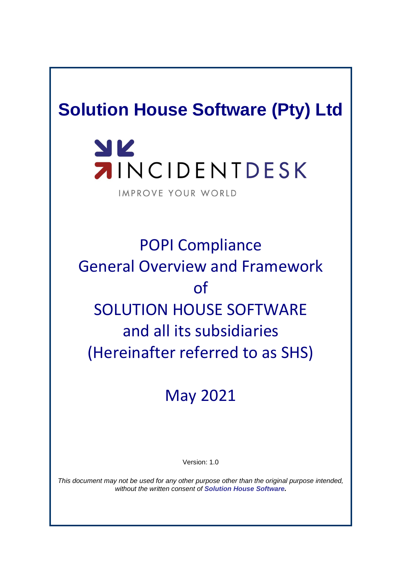# **Solution House Software (Pty) Ltd**

# YK **AINCIDENTDESK**

IMPROVE YOUR WORLD

POPI Compliance General Overview and Framework of SOLUTION HOUSE SOFTWARE and all its subsidiaries (Hereinafter referred to as SHS)

# May 2021

Version: 1.0

*This document may not be used for any other purpose other than the original purpose intended, without the written consent of Solution House Software.*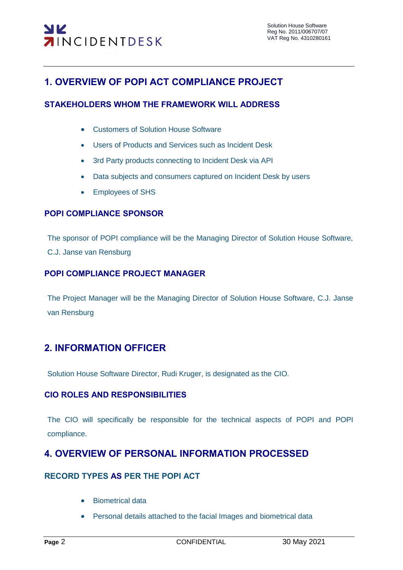# **1. OVERVIEW OF POPI ACT COMPLIANCE PROJECT**

#### **STAKEHOLDERS WHOM THE FRAMEWORK WILL ADDRESS**

- Customers of Solution House Software
- Users of Products and Services such as Incident Desk
- 3rd Party products connecting to Incident Desk via API
- Data subjects and consumers captured on Incident Desk by users
- Employees of SHS

#### **POPI COMPLIANCE SPONSOR**

The sponsor of POPI compliance will be the Managing Director of Solution House Software, C.J. Janse van Rensburg

#### **POPI COMPLIANCE PROJECT MANAGER**

The Project Manager will be the Managing Director of Solution House Software, C.J. Janse van Rensburg

## **2. INFORMATION OFFICER**

Solution House Software Director, Rudi Kruger, is designated as the CIO.

#### **CIO ROLES AND RESPONSIBILITIES**

The CIO will specifically be responsible for the technical aspects of POPI and POPI compliance.

## **4. OVERVIEW OF PERSONAL INFORMATION PROCESSED**

#### **RECORD TYPES AS PER THE POPI ACT**

- **•** Biometrical data
- Personal details attached to the facial Images and biometrical data